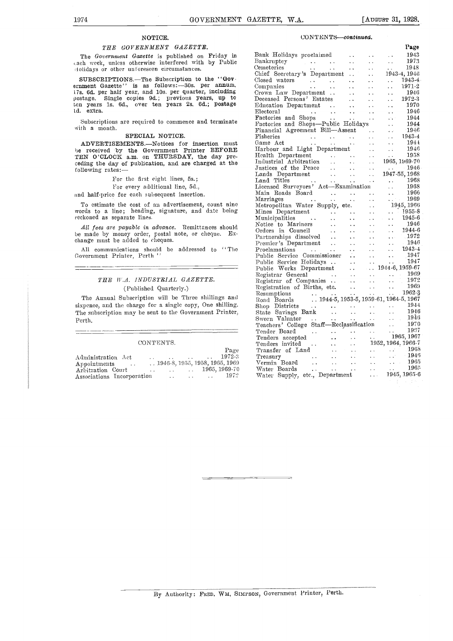### NOTICE.

#### THE GOVERNMENT GAZETTE.

The Government Gazette is published on Friday in Bank ach week, unless otherwise interfered with by Public Bank lolidays or other unforeseen circumstances.

SUBSCRIPTIONS.—The Subscription to the "Government Gazette" is as follows: -30s. per annum, ernment Gazette" is as follows:-30s. per annum,  $\frac{17s}{17s}$  6d. per half year, and 10s. per quarter, including  $\frac{17s}{1700}$ postage. Single copies 9d.; previous years, up to Deceas ten years ls. 6d., over ten years 2s. 6d.; postage extra.

Subscriptions are required to commence and terminate with a month.

#### SPECIAL NOTICE.

ADVERTISEMENTS.--Notices for insertion must be received by the Government Printer BEFORE<br>TEN O'CLOCK a.m. on THURSDAY, the day preceding the day of publication, and are charged at the following rates:

For the first eight lines, 5s.;

For every additional line, 5d.,

nd half-price for each subsequent insertion.

To estimate the cost of an advertisement, count nine words to a line; heading, signature, and date being reckoned as separate lines.

All fees are payable in advance. Remittances should be made by money order, postal note, or cheque. Exchange must be added to cheques.

All communications should be addressed to "The Government Printer, Perth

#### THE W.A. INDUSTRIAL GAZETTE. (Published Quarterly.)

The Annual Subscription will be Three shillings and sixpence, and the charge for a single copy, One shilling. The subscription may be sent to the Government Printer, Perth.

#### CONTENTS.

|                            |                      |                   |                                          |                             |               | Page                                    | Trai        |
|----------------------------|----------------------|-------------------|------------------------------------------|-----------------------------|---------------|-----------------------------------------|-------------|
| Administration Act         |                      | $\cdots$          | the contract of the contract of the con- |                             | $\sim$ $\sim$ | 1972-3                                  | Trea        |
| Appointments               |                      |                   |                                          |                             |               | $\ldots$ 1946-8, 1955, 1958, 1965, 1969 | ${\rm Ver}$ |
| Arbitration Court          | $\ddot{\phantom{a}}$ |                   |                                          |                             |               | $\ldots$ 1965, 1969-70                  | Wat         |
| Associations Incorporation |                      | <b>Contractor</b> |                                          | and the company of the com- |               | 1972                                    | Wat         |

#### CONTENTS-continued.

|  | Page |
|--|------|
|  |      |
|  |      |
|  |      |
|  |      |
|  |      |
|  |      |
|  |      |
|  |      |
|  |      |
|  |      |
|  |      |
|  |      |
|  |      |
|  |      |
|  |      |
|  |      |
|  |      |
|  |      |
|  |      |
|  |      |
|  |      |
|  |      |
|  |      |
|  |      |
|  |      |
|  |      |
|  |      |
|  |      |
|  |      |
|  |      |
|  |      |
|  |      |
|  |      |
|  |      |
|  |      |
|  |      |
|  |      |
|  |      |
|  |      |
|  |      |
|  |      |
|  |      |
|  |      |
|  |      |
|  |      |
|  |      |
|  |      |
|  |      |
|  |      |
|  |      |
|  |      |
|  |      |
|  |      |
|  |      |
|  |      |
|  |      |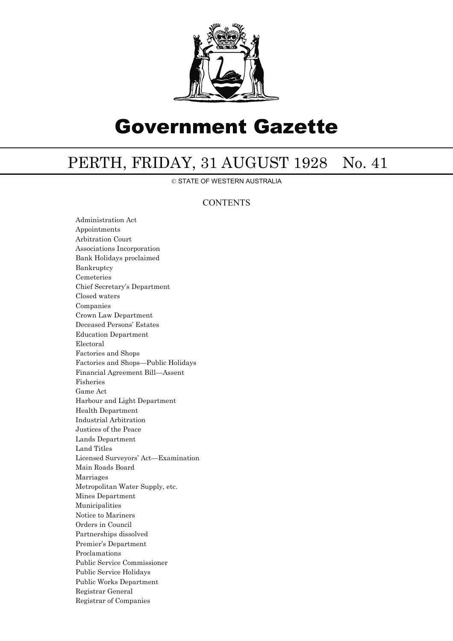

# Government Gazette

# PERTH, FRIDAY, 31 AUGUST 1928 No. 41

© STATE OF WESTERN AUSTRALIA

## **CONTENTS**

Administration Act Appointments Arbitration Court Associations Incorporation Bank Holidays proclaimed Bankruptcy Cemeteries Chief Secretary's Department Closed waters Companies Crown Law Department Deceased Persons' Estates Education Department Electoral Factories and Shops Factories and Shops—Public Holidays Financial Agreement Bill—Assent Fisheries Game Act Harbour and Light Department Health Department Industrial Arbitration Justices of the Peace Lands Department Land Titles Licensed Surveyors' Act—Examination Main Roads Board Marriages Metropolitan Water Supply, etc. Mines Department Municipalities Notice to Mariners Orders in Council Partnerships dissolved Premier's Department Proclamations Public Service Commissioner Public Service Holidays Public Works Department Registrar General Registrar of Companies